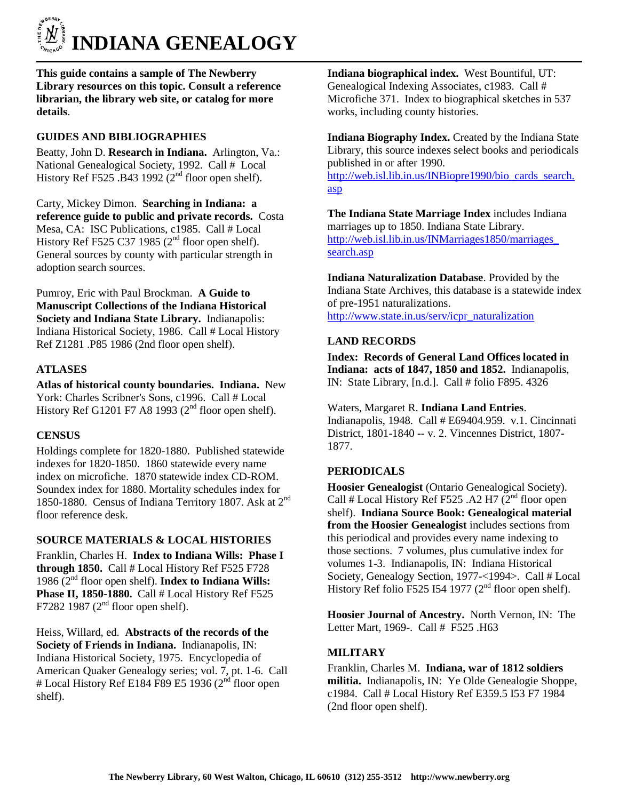

**This guide contains a sample of The Newberry Library resources on this topic. Consult a reference librarian, the library web site, or catalog for more details**.

# **GUIDES AND BIBLIOGRAPHIES**

Beatty, John D. **Research in Indiana.** Arlington, Va.: National Genealogical Society, 1992. Call # Local History Ref F525 .B43 1992 ( $2<sup>nd</sup>$  floor open shelf).

Carty, Mickey Dimon. **Searching in Indiana: a reference guide to public and private records.** Costa Mesa, CA: ISC Publications, c1985. Call # Local History Ref F525 C37 1985 ( $2<sup>nd</sup>$  floor open shelf). General sources by county with particular strength in adoption search sources.

Pumroy, Eric with Paul Brockman. **A Guide to Manuscript Collections of the Indiana Historical Society and Indiana State Library.** Indianapolis: Indiana Historical Society, 1986. Call # Local History Ref Z1281 .P85 1986 (2nd floor open shelf).

# **ATLASES**

**Atlas of historical county boundaries. Indiana.** New York: Charles Scribner's Sons, c1996. Call # Local History Ref G1201 F7 A8 1993 ( $2<sup>nd</sup>$  floor open shelf).

# **CENSUS**

Holdings complete for 1820-1880. Published statewide indexes for 1820-1850. 1860 statewide every name index on microfiche. 1870 statewide index CD-ROM. Soundex index for 1880. Mortality schedules index for 1850-1880. Census of Indiana Territory 1807. Ask at  $2<sup>nd</sup>$ floor reference desk.

#### **SOURCE MATERIALS & LOCAL HISTORIES**

Franklin, Charles H. **Index to Indiana Wills: Phase I through 1850.** Call # Local History Ref F525 F728 1986 (2nd floor open shelf). **Index to Indiana Wills: Phase II, 1850-1880.** Call # Local History Ref F525 F7282 1987 ( $2<sup>nd</sup>$  floor open shelf).

Heiss, Willard, ed. **Abstracts of the records of the Society of Friends in Indiana.** Indianapolis, IN: Indiana Historical Society, 1975. Encyclopedia of American Quaker Genealogy series; vol. 7, pt. 1-6. Call # Local History Ref E184 F89 E5 1936 ( $2<sup>nd</sup>$  floor open shelf).

**Indiana biographical index.** West Bountiful, UT: Genealogical Indexing Associates, c1983. Call # Microfiche 371. Index to biographical sketches in 537 works, including county histories.

**Indiana Biography Index.** Created by the Indiana State Library, this source indexes select books and periodicals published in or after 1990. [http://web.isl.lib.in.us/INBiopre1990/bio\\_cards\\_search.](http://web.isl.lib.in.us/INBiopre1990/bio_cards_search.asp)  [asp](http://web.isl.lib.in.us/INBiopre1990/bio_cards_search.asp)

**The Indiana State Marriage Index** includes Indiana marriages up to 1850. Indiana State Library. [http://web.isl.lib.in.us/INMarriages1850/marriages\\_](http://web.isl.lib.in.us/INMarriages1850/marriages_search.asp)  [search.asp](http://web.isl.lib.in.us/INMarriages1850/marriages_search.asp)

**Indiana Naturalization Database**. Provided by the Indiana State Archives, this database is a statewide index of pre-1951 naturalizations. [http://www.state.in.us/serv/icpr\\_naturalization](http://www.state.in.us/serv/icpr_naturalization)

#### **LAND RECORDS**

**Index: Records of General Land Offices located in Indiana: acts of 1847, 1850 and 1852.** Indianapolis, IN: State Library, [n.d.]. Call # folio F895. 4326

Waters, Margaret R. **Indiana Land Entries**. Indianapolis, 1948. Call # E69404.959. v.1. Cincinnati District, 1801-1840 -- v. 2. Vincennes District, 1807- 1877.

#### **PERIODICALS**

**Hoosier Genealogist** (Ontario Genealogical Society). Call # Local History Ref F525 .A2 H7  $(2^{nd}$  floor open shelf). **Indiana Source Book: Genealogical material from the Hoosier Genealogist** includes sections from this periodical and provides every name indexing to those sections. 7 volumes, plus cumulative index for volumes 1-3. Indianapolis, IN: Indiana Historical Society, Genealogy Section, 1977-<1994>. Call # Local History Ref folio F525 I54 1977 ( $2<sup>nd</sup>$  floor open shelf).

**Hoosier Journal of Ancestry.** North Vernon, IN: The Letter Mart, 1969-. Call # F525 .H63

### **MILITARY**

Franklin, Charles M. **Indiana, war of 1812 soldiers militia.** Indianapolis, IN: Ye Olde Genealogie Shoppe, c1984. Call # Local History Ref E359.5 I53 F7 1984 (2nd floor open shelf).